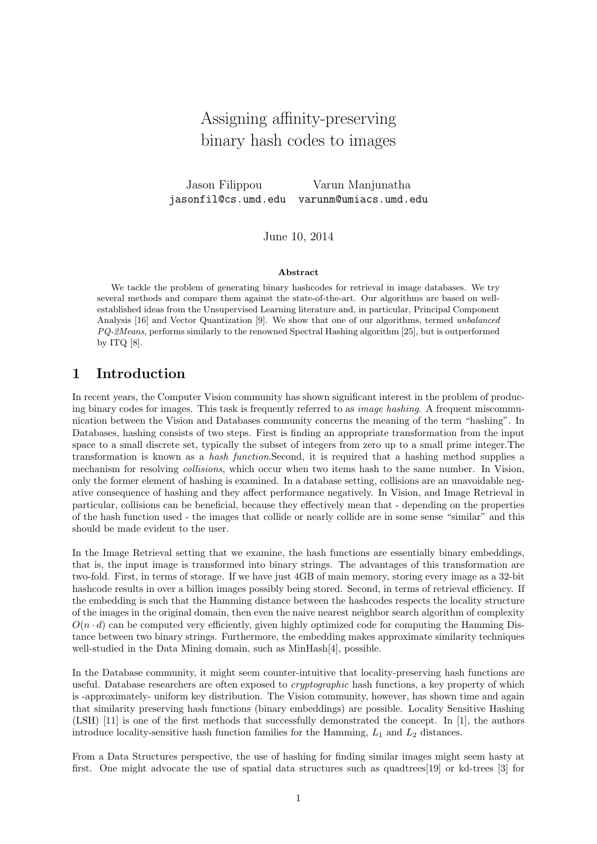# Assigning affinity-preserving binary hash codes to images

Jason Filippou Varun Manjunatha jasonfil@cs.umd.edu varunm@umiacs.umd.edu

June 10, 2014

#### Abstract

We tackle the problem of generating binary hashcodes for retrieval in image databases. We try several methods and compare them against the state-of-the-art. Our algorithms are based on wellestablished ideas from the Unsupervised Learning literature and, in particular, Principal Component Analysis [16] and Vector Quantization [9]. We show that one of our algorithms, termed unbalanced  $PQ-2Means$ , performs similarly to the renowned Spectral Hashing algorithm [25], but is outperformed by ITQ [8].

## 1 Introduction

In recent years, the Computer Vision community has shown significant interest in the problem of producing binary codes for images. This task is frequently referred to as *image hashing*. A frequent miscommunication between the Vision and Databases community concerns the meaning of the term "hashing". In Databases, hashing consists of two steps. First is finding an appropriate transformation from the input space to a small discrete set, typically the subset of integers from zero up to a small prime integer.The transformation is known as a hash function.Second, it is required that a hashing method supplies a mechanism for resolving collisions, which occur when two items hash to the same number. In Vision, only the former element of hashing is examined. In a database setting, collisions are an unavoidable negative consequence of hashing and they affect performance negatively. In Vision, and Image Retrieval in particular, collisions can be beneficial, because they effectively mean that - depending on the properties of the hash function used - the images that collide or nearly collide are in some sense "similar" and this should be made evident to the user.

In the Image Retrieval setting that we examine, the hash functions are essentially binary embeddings, that is, the input image is transformed into binary strings. The advantages of this transformation are two-fold. First, in terms of storage. If we have just 4GB of main memory, storing every image as a 32-bit hashcode results in over a billion images possibly being stored. Second, in terms of retrieval efficiency. If the embedding is such that the Hamming distance between the hashcodes respects the locality structure of the images in the original domain, then even the naive nearest neighbor search algorithm of complexity  $O(n \cdot d)$  can be computed very efficiently, given highly optimized code for computing the Hamming Distance between two binary strings. Furthermore, the embedding makes approximate similarity techniques well-studied in the Data Mining domain, such as MinHash[4], possible.

In the Database community, it might seem counter-intuitive that locality-preserving hash functions are useful. Database researchers are often exposed to cryptographic hash functions, a key property of which is -approximately- uniform key distribution. The Vision community, however, has shown time and again that similarity preserving hash functions (binary embeddings) are possible. Locality Sensitive Hashing (LSH) [11] is one of the first methods that successfully demonstrated the concept. In [1], the authors introduce locality-sensitive hash function families for the Hamming,  $L_1$  and  $L_2$  distances.

From a Data Structures perspective, the use of hashing for finding similar images might seem hasty at first. One might advocate the use of spatial data structures such as quadtrees[19] or kd-trees [3] for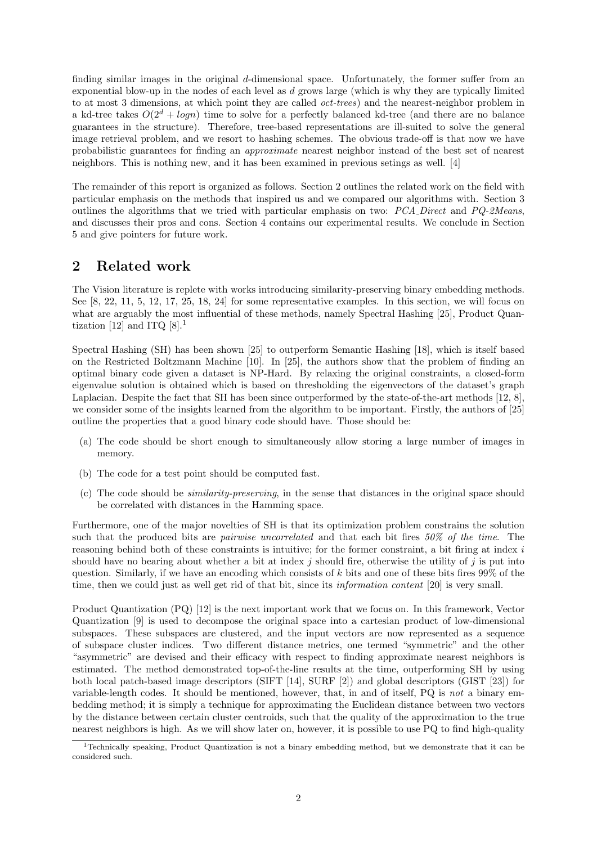finding similar images in the original d-dimensional space. Unfortunately, the former suffer from an exponential blow-up in the nodes of each level as d grows large (which is why they are typically limited to at most 3 dimensions, at which point they are called oct-trees) and the nearest-neighbor problem in a kd-tree takes  $O(2^d + log n)$  time to solve for a perfectly balanced kd-tree (and there are no balance guarantees in the structure). Therefore, tree-based representations are ill-suited to solve the general image retrieval problem, and we resort to hashing schemes. The obvious trade-off is that now we have probabilistic guarantees for finding an approximate nearest neighbor instead of the best set of nearest neighbors. This is nothing new, and it has been examined in previous setings as well. [4]

The remainder of this report is organized as follows. Section 2 outlines the related work on the field with particular emphasis on the methods that inspired us and we compared our algorithms with. Section 3 outlines the algorithms that we tried with particular emphasis on two:  $PCA\_Direct$  and  $PQ-2Means$ , and discusses their pros and cons. Section 4 contains our experimental results. We conclude in Section 5 and give pointers for future work.

## 2 Related work

The Vision literature is replete with works introducing similarity-preserving binary embedding methods. See [8, 22, 11, 5, 12, 17, 25, 18, 24] for some representative examples. In this section, we will focus on what are arguably the most influential of these methods, namely Spectral Hashing [25], Product Quantization [12] and ITQ  $[8]$ <sup>1</sup>

Spectral Hashing (SH) has been shown [25] to outperform Semantic Hashing [18], which is itself based on the Restricted Boltzmann Machine [10]. In [25], the authors show that the problem of finding an optimal binary code given a dataset is NP-Hard. By relaxing the original constraints, a closed-form eigenvalue solution is obtained which is based on thresholding the eigenvectors of the dataset's graph Laplacian. Despite the fact that SH has been since outperformed by the state-of-the-art methods [12, 8], we consider some of the insights learned from the algorithm to be important. Firstly, the authors of [25] outline the properties that a good binary code should have. Those should be:

- (a) The code should be short enough to simultaneously allow storing a large number of images in memory.
- (b) The code for a test point should be computed fast.
- (c) The code should be similarity-preserving, in the sense that distances in the original space should be correlated with distances in the Hamming space.

Furthermore, one of the major novelties of SH is that its optimization problem constrains the solution such that the produced bits are *pairwise uncorrelated* and that each bit fires 50% of the time. The reasoning behind both of these constraints is intuitive; for the former constraint, a bit firing at index  $i$ should have no bearing about whether a bit at index j should fire, otherwise the utility of j is put into question. Similarly, if we have an encoding which consists of k bits and one of these bits fires  $99\%$  of the time, then we could just as well get rid of that bit, since its *information content* [20] is very small.

Product Quantization (PQ) [12] is the next important work that we focus on. In this framework, Vector Quantization [9] is used to decompose the original space into a cartesian product of low-dimensional subspaces. These subspaces are clustered, and the input vectors are now represented as a sequence of subspace cluster indices. Two different distance metrics, one termed "symmetric" and the other "asymmetric" are devised and their efficacy with respect to finding approximate nearest neighbors is estimated. The method demonstrated top-of-the-line results at the time, outperforming SH by using both local patch-based image descriptors (SIFT [14], SURF [2]) and global descriptors (GIST [23]) for variable-length codes. It should be mentioned, however, that, in and of itself, PQ is not a binary embedding method; it is simply a technique for approximating the Euclidean distance between two vectors by the distance between certain cluster centroids, such that the quality of the approximation to the true nearest neighbors is high. As we will show later on, however, it is possible to use PQ to find high-quality

<sup>1</sup>Technically speaking, Product Quantization is not a binary embedding method, but we demonstrate that it can be considered such.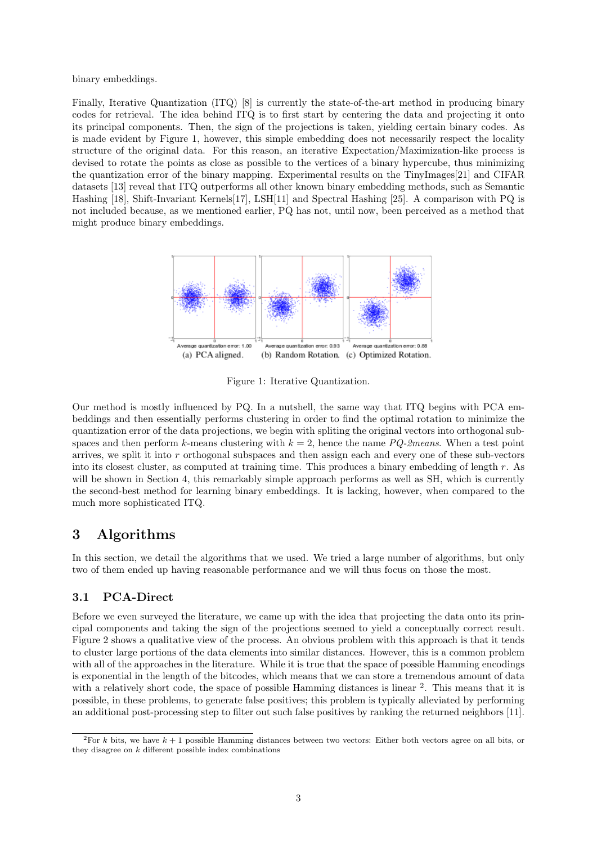binary embeddings.

Finally, Iterative Quantization (ITQ) [8] is currently the state-of-the-art method in producing binary codes for retrieval. The idea behind ITQ is to first start by centering the data and projecting it onto its principal components. Then, the sign of the projections is taken, yielding certain binary codes. As is made evident by Figure 1, however, this simple embedding does not necessarily respect the locality structure of the original data. For this reason, an iterative Expectation/Maximization-like process is devised to rotate the points as close as possible to the vertices of a binary hypercube, thus minimizing the quantization error of the binary mapping. Experimental results on the TinyImages[21] and CIFAR datasets [13] reveal that ITQ outperforms all other known binary embedding methods, such as Semantic Hashing [18], Shift-Invariant Kernels[17], LSH[11] and Spectral Hashing [25]. A comparison with PQ is not included because, as we mentioned earlier, PQ has not, until now, been perceived as a method that might produce binary embeddings.



Figure 1: Iterative Quantization.

Our method is mostly influenced by PQ. In a nutshell, the same way that ITQ begins with PCA embeddings and then essentially performs clustering in order to find the optimal rotation to minimize the quantization error of the data projections, we begin with spliting the original vectors into orthogonal subspaces and then perform k-means clustering with  $k = 2$ , hence the name PQ-2means. When a test point arrives, we split it into  $r$  orthogonal subspaces and then assign each and every one of these sub-vectors into its closest cluster, as computed at training time. This produces a binary embedding of length r. As will be shown in Section 4, this remarkably simple approach performs as well as SH, which is currently the second-best method for learning binary embeddings. It is lacking, however, when compared to the much more sophisticated ITQ.

# 3 Algorithms

In this section, we detail the algorithms that we used. We tried a large number of algorithms, but only two of them ended up having reasonable performance and we will thus focus on those the most.

### 3.1 PCA-Direct

Before we even surveyed the literature, we came up with the idea that projecting the data onto its principal components and taking the sign of the projections seemed to yield a conceptually correct result. Figure 2 shows a qualitative view of the process. An obvious problem with this approach is that it tends to cluster large portions of the data elements into similar distances. However, this is a common problem with all of the approaches in the literature. While it is true that the space of possible Hamming encodings is exponential in the length of the bitcodes, which means that we can store a tremendous amount of data with a relatively short code, the space of possible Hamming distances is linear  $2$ . This means that it is possible, in these problems, to generate false positives; this problem is typically alleviated by performing an additional post-processing step to filter out such false positives by ranking the returned neighbors [11].

<sup>&</sup>lt;sup>2</sup>For k bits, we have  $k + 1$  possible Hamming distances between two vectors: Either both vectors agree on all bits, or they disagree on  $k$  different possible index combinations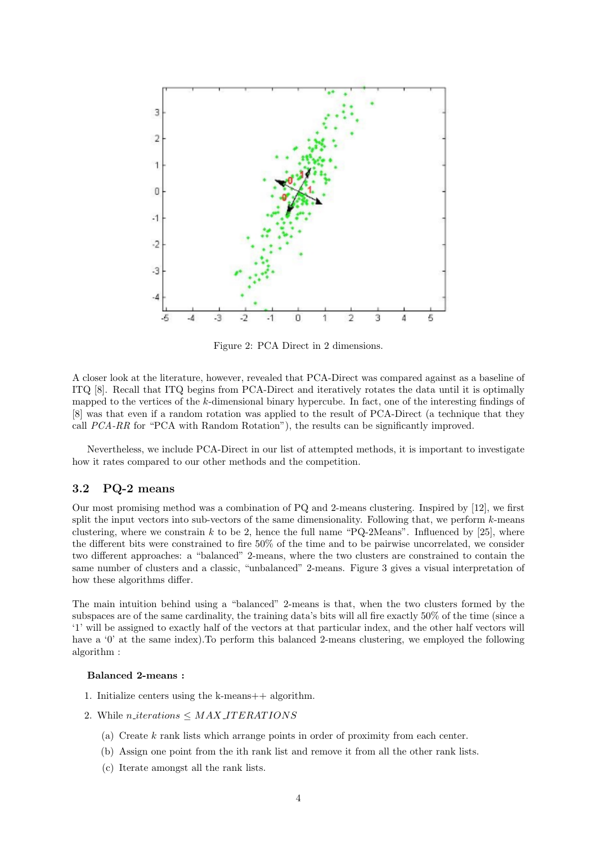

Figure 2: PCA Direct in 2 dimensions.

A closer look at the literature, however, revealed that PCA-Direct was compared against as a baseline of ITQ [8]. Recall that ITQ begins from PCA-Direct and iteratively rotates the data until it is optimally mapped to the vertices of the k-dimensional binary hypercube. In fact, one of the interesting findings of [8] was that even if a random rotation was applied to the result of PCA-Direct (a technique that they call PCA-RR for "PCA with Random Rotation"), the results can be significantly improved.

Nevertheless, we include PCA-Direct in our list of attempted methods, it is important to investigate how it rates compared to our other methods and the competition.

#### 3.2 PQ-2 means

Our most promising method was a combination of PQ and 2-means clustering. Inspired by [12], we first split the input vectors into sub-vectors of the same dimensionality. Following that, we perform  $k$ -means clustering, where we constrain k to be 2, hence the full name "PQ-2Means". Influenced by [25], where the different bits were constrained to fire 50% of the time and to be pairwise uncorrelated, we consider two different approaches: a "balanced" 2-means, where the two clusters are constrained to contain the same number of clusters and a classic, "unbalanced" 2-means. Figure 3 gives a visual interpretation of how these algorithms differ.

The main intuition behind using a "balanced" 2-means is that, when the two clusters formed by the subspaces are of the same cardinality, the training data's bits will all fire exactly 50% of the time (since a '1' will be assigned to exactly half of the vectors at that particular index, and the other half vectors will have a '0' at the same index). To perform this balanced 2-means clustering, we employed the following algorithm :

#### Balanced 2-means :

- 1. Initialize centers using the k-means++ algorithm.
- 2. While  $n\_iterations \leq MAX\_ITERATIONS$ 
	- (a) Create k rank lists which arrange points in order of proximity from each center.
	- (b) Assign one point from the ith rank list and remove it from all the other rank lists.
	- (c) Iterate amongst all the rank lists.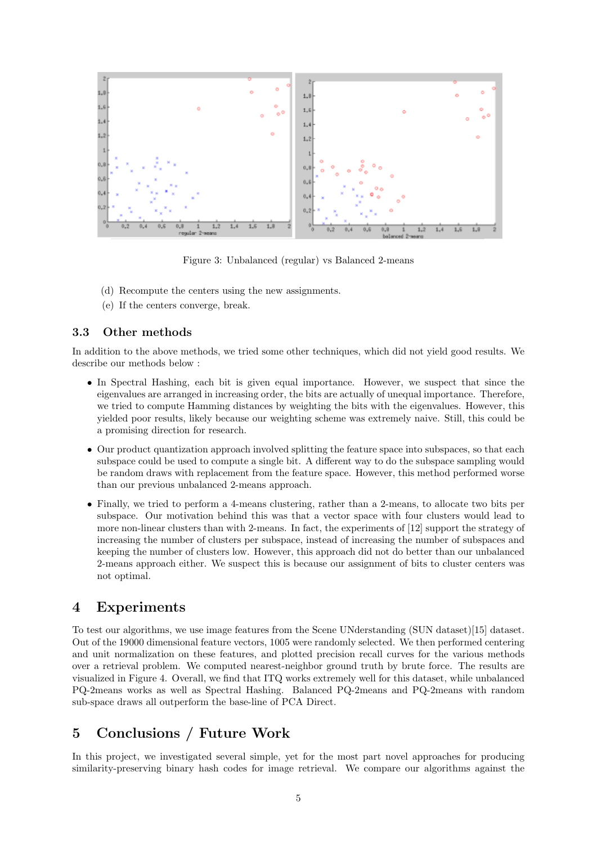

Figure 3: Unbalanced (regular) vs Balanced 2-means

- (d) Recompute the centers using the new assignments.
- (e) If the centers converge, break.

### 3.3 Other methods

In addition to the above methods, we tried some other techniques, which did not yield good results. We describe our methods below :

- In Spectral Hashing, each bit is given equal importance. However, we suspect that since the eigenvalues are arranged in increasing order, the bits are actually of unequal importance. Therefore, we tried to compute Hamming distances by weighting the bits with the eigenvalues. However, this yielded poor results, likely because our weighting scheme was extremely naive. Still, this could be a promising direction for research.
- Our product quantization approach involved splitting the feature space into subspaces, so that each subspace could be used to compute a single bit. A different way to do the subspace sampling would be random draws with replacement from the feature space. However, this method performed worse than our previous unbalanced 2-means approach.
- Finally, we tried to perform a 4-means clustering, rather than a 2-means, to allocate two bits per subspace. Our motivation behind this was that a vector space with four clusters would lead to more non-linear clusters than with 2-means. In fact, the experiments of  $|12|$  support the strategy of increasing the number of clusters per subspace, instead of increasing the number of subspaces and keeping the number of clusters low. However, this approach did not do better than our unbalanced 2-means approach either. We suspect this is because our assignment of bits to cluster centers was not optimal.

# 4 Experiments

To test our algorithms, we use image features from the Scene UNderstanding (SUN dataset)[15] dataset. Out of the 19000 dimensional feature vectors, 1005 were randomly selected. We then performed centering and unit normalization on these features, and plotted precision recall curves for the various methods over a retrieval problem. We computed nearest-neighbor ground truth by brute force. The results are visualized in Figure 4. Overall, we find that ITQ works extremely well for this dataset, while unbalanced PQ-2means works as well as Spectral Hashing. Balanced PQ-2means and PQ-2means with random sub-space draws all outperform the base-line of PCA Direct.

# 5 Conclusions / Future Work

In this project, we investigated several simple, yet for the most part novel approaches for producing similarity-preserving binary hash codes for image retrieval. We compare our algorithms against the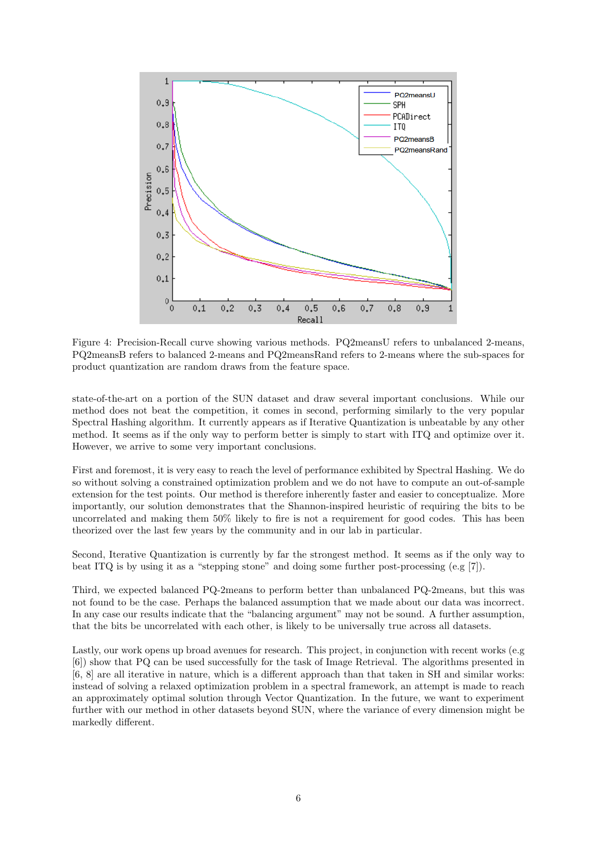

Figure 4: Precision-Recall curve showing various methods. PQ2meansU refers to unbalanced 2-means, PQ2meansB refers to balanced 2-means and PQ2meansRand refers to 2-means where the sub-spaces for product quantization are random draws from the feature space.

state-of-the-art on a portion of the SUN dataset and draw several important conclusions. While our method does not beat the competition, it comes in second, performing similarly to the very popular Spectral Hashing algorithm. It currently appears as if Iterative Quantization is unbeatable by any other method. It seems as if the only way to perform better is simply to start with ITQ and optimize over it. However, we arrive to some very important conclusions.

First and foremost, it is very easy to reach the level of performance exhibited by Spectral Hashing. We do so without solving a constrained optimization problem and we do not have to compute an out-of-sample extension for the test points. Our method is therefore inherently faster and easier to conceptualize. More importantly, our solution demonstrates that the Shannon-inspired heuristic of requiring the bits to be uncorrelated and making them 50% likely to fire is not a requirement for good codes. This has been theorized over the last few years by the community and in our lab in particular.

Second, Iterative Quantization is currently by far the strongest method. It seems as if the only way to beat ITQ is by using it as a "stepping stone" and doing some further post-processing (e.g [7]).

Third, we expected balanced PQ-2means to perform better than unbalanced PQ-2means, but this was not found to be the case. Perhaps the balanced assumption that we made about our data was incorrect. In any case our results indicate that the "balancing argument" may not be sound. A further assumption, that the bits be uncorrelated with each other, is likely to be universally true across all datasets.

Lastly, our work opens up broad avenues for research. This project, in conjunction with recent works (e.g [6]) show that PQ can be used successfully for the task of Image Retrieval. The algorithms presented in [6, 8] are all iterative in nature, which is a different approach than that taken in SH and similar works: instead of solving a relaxed optimization problem in a spectral framework, an attempt is made to reach an approximately optimal solution through Vector Quantization. In the future, we want to experiment further with our method in other datasets beyond SUN, where the variance of every dimension might be markedly different.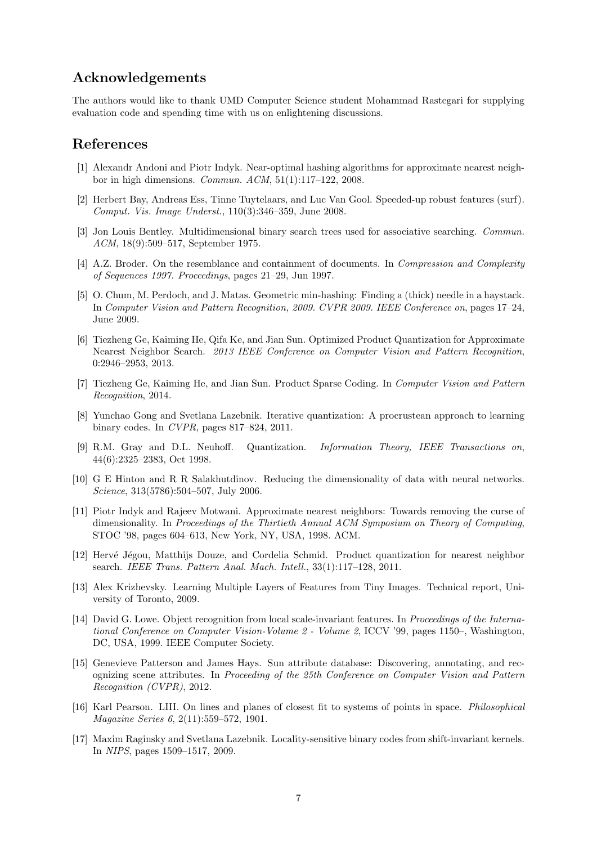# Acknowledgements

The authors would like to thank UMD Computer Science student Mohammad Rastegari for supplying evaluation code and spending time with us on enlightening discussions.

### References

- [1] Alexandr Andoni and Piotr Indyk. Near-optimal hashing algorithms for approximate nearest neighbor in high dimensions. Commun. ACM, 51(1):117–122, 2008.
- [2] Herbert Bay, Andreas Ess, Tinne Tuytelaars, and Luc Van Gool. Speeded-up robust features (surf). Comput. Vis. Image Underst., 110(3):346–359, June 2008.
- [3] Jon Louis Bentley. Multidimensional binary search trees used for associative searching. Commun. ACM, 18(9):509–517, September 1975.
- [4] A.Z. Broder. On the resemblance and containment of documents. In Compression and Complexity of Sequences 1997. Proceedings, pages 21–29, Jun 1997.
- [5] O. Chum, M. Perdoch, and J. Matas. Geometric min-hashing: Finding a (thick) needle in a haystack. In Computer Vision and Pattern Recognition, 2009. CVPR 2009. IEEE Conference on, pages 17–24, June 2009.
- [6] Tiezheng Ge, Kaiming He, Qifa Ke, and Jian Sun. Optimized Product Quantization for Approximate Nearest Neighbor Search. 2013 IEEE Conference on Computer Vision and Pattern Recognition, 0:2946–2953, 2013.
- [7] Tiezheng Ge, Kaiming He, and Jian Sun. Product Sparse Coding. In Computer Vision and Pattern Recognition, 2014.
- [8] Yunchao Gong and Svetlana Lazebnik. Iterative quantization: A procrustean approach to learning binary codes. In CVPR, pages 817–824, 2011.
- [9] R.M. Gray and D.L. Neuhoff. Quantization. Information Theory, IEEE Transactions on, 44(6):2325–2383, Oct 1998.
- [10] G E Hinton and R R Salakhutdinov. Reducing the dimensionality of data with neural networks. Science, 313(5786):504–507, July 2006.
- [11] Piotr Indyk and Rajeev Motwani. Approximate nearest neighbors: Towards removing the curse of dimensionality. In Proceedings of the Thirtieth Annual ACM Symposium on Theory of Computing, STOC '98, pages 604–613, New York, NY, USA, 1998. ACM.
- [12] Hervé Jégou, Matthijs Douze, and Cordelia Schmid. Product quantization for nearest neighbor search. IEEE Trans. Pattern Anal. Mach. Intell., 33(1):117–128, 2011.
- [13] Alex Krizhevsky. Learning Multiple Layers of Features from Tiny Images. Technical report, University of Toronto, 2009.
- [14] David G. Lowe. Object recognition from local scale-invariant features. In Proceedings of the International Conference on Computer Vision-Volume 2 - Volume 2, ICCV '99, pages 1150–, Washington, DC, USA, 1999. IEEE Computer Society.
- [15] Genevieve Patterson and James Hays. Sun attribute database: Discovering, annotating, and recognizing scene attributes. In Proceeding of the 25th Conference on Computer Vision and Pattern Recognition (CVPR), 2012.
- [16] Karl Pearson. LIII. On lines and planes of closest fit to systems of points in space. Philosophical Magazine Series 6, 2(11):559–572, 1901.
- [17] Maxim Raginsky and Svetlana Lazebnik. Locality-sensitive binary codes from shift-invariant kernels. In NIPS, pages 1509–1517, 2009.